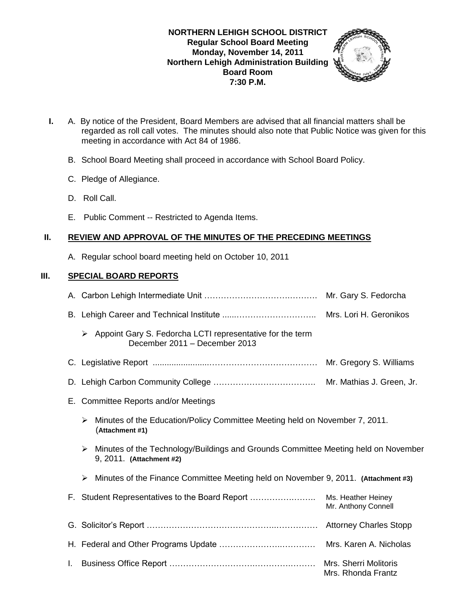### **NORTHERN LEHIGH SCHOOL DISTRICT Regular School Board Meeting Monday, November 14, 2011 Northern Lehigh Administration Building Board Room 7:30 P.M.**



- **I.** A. By notice of the President, Board Members are advised that all financial matters shall be regarded as roll call votes. The minutes should also note that Public Notice was given for this meeting in accordance with Act 84 of 1986.
	- B. School Board Meeting shall proceed in accordance with School Board Policy.
	- C. Pledge of Allegiance.
	- D. Roll Call.
	- E. Public Comment -- Restricted to Agenda Items.

# **II. REVIEW AND APPROVAL OF THE MINUTES OF THE PRECEDING MEETINGS**

A. Regular school board meeting held on October 10, 2011

# **III. SPECIAL BOARD REPORTS**

|    | Mr. Gary S. Fedorcha                        |                                                                                                                |                                           |
|----|---------------------------------------------|----------------------------------------------------------------------------------------------------------------|-------------------------------------------|
|    |                                             |                                                                                                                | Mrs. Lori H. Geronikos                    |
|    | ➤                                           | Appoint Gary S. Fedorcha LCTI representative for the term<br>December 2011 - December 2013                     |                                           |
|    | Mr. Gregory S. Williams                     |                                                                                                                |                                           |
|    | Mr. Mathias J. Green, Jr.                   |                                                                                                                |                                           |
| Е. | <b>Committee Reports and/or Meetings</b>    |                                                                                                                |                                           |
|    | ➤                                           | Minutes of the Education/Policy Committee Meeting held on November 7, 2011.<br>(Attachment #1)                 |                                           |
|    | ➤                                           | Minutes of the Technology/Buildings and Grounds Committee Meeting held on November<br>9, 2011. (Attachment #2) |                                           |
|    | ➤                                           | Minutes of the Finance Committee Meeting held on November 9, 2011. (Attachment #3)                             |                                           |
| F. |                                             |                                                                                                                | Ms. Heather Heiney<br>Mr. Anthony Connell |
|    | <b>Attorney Charles Stopp</b>               |                                                                                                                |                                           |
|    | Mrs. Karen A. Nicholas                      |                                                                                                                |                                           |
| L. | Mrs. Sherri Molitoris<br>Mrs. Rhonda Frantz |                                                                                                                |                                           |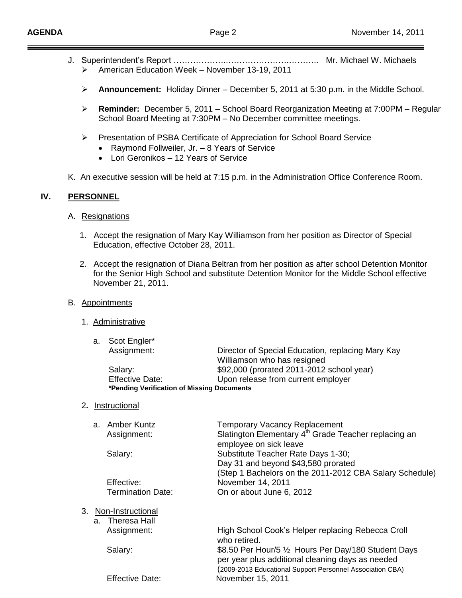- J. Superintendent's Report ………………..………………….……….. Mr. Michael W. Michaels American Education Week – November 13-19, 2011
	- **Announcement:** Holiday Dinner December 5, 2011 at 5:30 p.m. in the Middle School.
	- **Reminder:** December 5, 2011 School Board Reorganization Meeting at 7:00PM Regular School Board Meeting at 7:30PM – No December committee meetings.
	- Presentation of PSBA Certificate of Appreciation for School Board Service
		- Raymond Follweiler, Jr. 8 Years of Service
		- Lori Geronikos 12 Years of Service
- K. An executive session will be held at 7:15 p.m. in the Administration Office Conference Room.

## **IV. PERSONNEL**

- A. Resignations
	- 1. Accept the resignation of Mary Kay Williamson from her position as Director of Special Education, effective October 28, 2011.
	- 2. Accept the resignation of Diana Beltran from her position as after school Detention Monitor for the Senior High School and substitute Detention Monitor for the Middle School effective November 21, 2011.

### B. Appointments

1. Administrative

| a. Scot Engler*                            |                                                   |  |  |  |
|--------------------------------------------|---------------------------------------------------|--|--|--|
| Assignment:                                | Director of Special Education, replacing Mary Kay |  |  |  |
|                                            | Williamson who has resigned                       |  |  |  |
| Salary:                                    | \$92,000 (prorated 2011-2012 school year)         |  |  |  |
| <b>Effective Date:</b>                     | Upon release from current employer                |  |  |  |
| *Pending Verification of Missing Documents |                                                   |  |  |  |
|                                            |                                                   |  |  |  |

2**.** Instructional

|         | a. Amber Kuntz<br>Assignment: | <b>Temporary Vacancy Replacement</b><br>Slatington Elementary 4 <sup>th</sup> Grade Teacher replacing an<br>employee on sick leave                                    |
|---------|-------------------------------|-----------------------------------------------------------------------------------------------------------------------------------------------------------------------|
|         | Salary:                       | Substitute Teacher Rate Days 1-30;<br>Day 31 and beyond \$43,580 prorated<br>(Step 1 Bachelors on the 2011-2012 CBA Salary Schedule)                                  |
|         | Effective:                    | November 14, 2011                                                                                                                                                     |
|         | Termination Date:             | On or about June 6, 2012                                                                                                                                              |
|         |                               |                                                                                                                                                                       |
| $3_{-}$ | Non-Instructional             |                                                                                                                                                                       |
|         | a. Theresa Hall               |                                                                                                                                                                       |
|         | Assignment:                   | High School Cook's Helper replacing Rebecca Croll<br>who retired.                                                                                                     |
|         | Salary:                       | \$8.50 Per Hour/5 1/2 Hours Per Day/180 Student Days<br>per year plus additional cleaning days as needed<br>(2009-2013 Educational Support Personnel Association CBA) |
|         | <b>Effective Date:</b>        | November 15, 2011                                                                                                                                                     |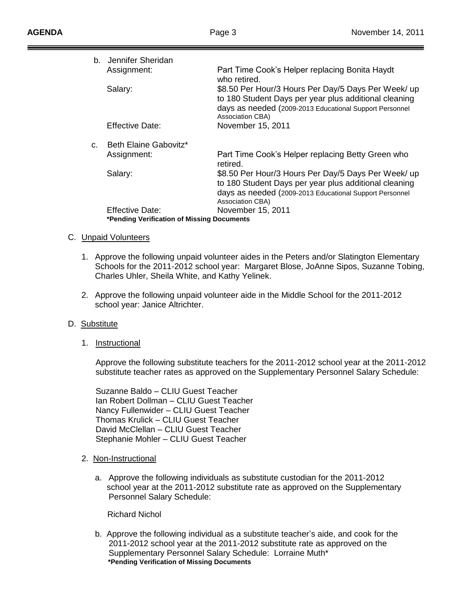| b. | Jennifer Sheridan                          |                                                                                                                                                                                             |
|----|--------------------------------------------|---------------------------------------------------------------------------------------------------------------------------------------------------------------------------------------------|
|    | Assignment:                                | Part Time Cook's Helper replacing Bonita Haydt<br>who retired.                                                                                                                              |
|    | Salary:                                    | \$8.50 Per Hour/3 Hours Per Day/5 Days Per Week/ up<br>to 180 Student Days per year plus additional cleaning<br>days as needed (2009-2013 Educational Support Personnel<br>Association CBA) |
|    | Effective Date:                            | November 15, 2011                                                                                                                                                                           |
| C. | Beth Elaine Gabovitz*                      |                                                                                                                                                                                             |
|    | Assignment:                                | Part Time Cook's Helper replacing Betty Green who<br>retired.                                                                                                                               |
|    | Salary:                                    | \$8.50 Per Hour/3 Hours Per Day/5 Days Per Week/ up<br>to 180 Student Days per year plus additional cleaning<br>days as needed (2009-2013 Educational Support Personnel<br>Association CBA) |
|    | Effective Date:                            | November 15, 2011                                                                                                                                                                           |
|    | *Pending Verification of Missing Documents |                                                                                                                                                                                             |

#### C. Unpaid Volunteers

- 1. Approve the following unpaid volunteer aides in the Peters and/or Slatington Elementary Schools for the 2011-2012 school year: Margaret Blose, JoAnne Sipos, Suzanne Tobing, Charles Uhler, Sheila White, and Kathy Yelinek.
- 2. Approve the following unpaid volunteer aide in the Middle School for the 2011-2012 school year: Janice Altrichter.

#### D. Substitute

1. Instructional

 Approve the following substitute teachers for the 2011-2012 school year at the 2011-2012 substitute teacher rates as approved on the Supplementary Personnel Salary Schedule:

 Suzanne Baldo – CLIU Guest Teacher Ian Robert Dollman – CLIU Guest Teacher Nancy Fullenwider – CLIU Guest Teacher Thomas Krulick – CLIU Guest Teacher David McClellan – CLIU Guest Teacher Stephanie Mohler – CLIU Guest Teacher

- 2. Non-Instructional
	- a. Approve the following individuals as substitute custodian for the 2011-2012 school year at the 2011-2012 substitute rate as approved on the Supplementary Personnel Salary Schedule:

#### Richard Nichol

 b. Approve the following individual as a substitute teacher's aide, and cook for the 2011-2012 school year at the 2011-2012 substitute rate as approved on the Supplementary Personnel Salary Schedule: Lorraine Muth\*  **\*Pending Verification of Missing Documents**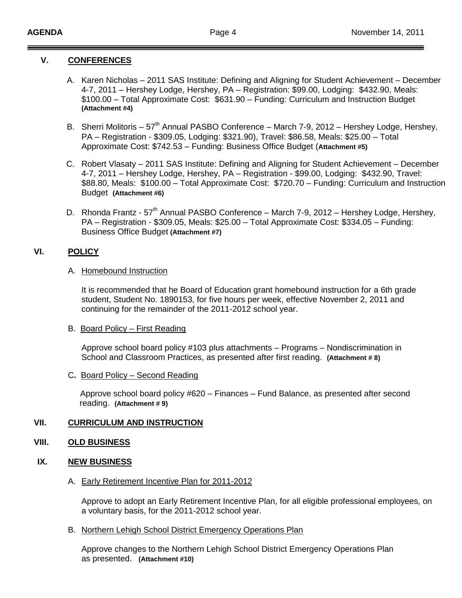### **V. CONFERENCES**

- A. Karen Nicholas 2011 SAS Institute: Defining and Aligning for Student Achievement December 4-7, 2011 – Hershey Lodge, Hershey, PA – Registration: \$99.00, Lodging: \$432.90, Meals: \$100.00 – Total Approximate Cost: \$631.90 – Funding: Curriculum and Instruction Budget **(Attachment #4)**
- B. Sherri Molitoris  $57<sup>th</sup>$  Annual PASBO Conference March 7-9, 2012 Hershey Lodge, Hershey, PA – Registration - \$309.05, Lodging: \$321.90), Travel: \$86.58, Meals: \$25.00 – Total Approximate Cost: \$742.53 – Funding: Business Office Budget (**Attachment #5)**
- C. Robert Vlasaty 2011 SAS Institute: Defining and Aligning for Student Achievement December 4-7, 2011 – Hershey Lodge, Hershey, PA – Registration - \$99.00, Lodging: \$432.90, Travel: \$88.80, Meals: \$100.00 – Total Approximate Cost: \$720.70 – Funding: Curriculum and Instruction Budget **(Attachment #6)**
- D. Rhonda Frantz 57<sup>th</sup> Annual PASBO Conference March 7-9, 2012 Hershey Lodge, Hershey, PA – Registration - \$309.05, Meals: \$25.00 – Total Approximate Cost: \$334.05 – Funding: Business Office Budget **(Attachment #7)**

### **VI. POLICY**

#### A. Homebound Instruction

It is recommended that he Board of Education grant homebound instruction for a 6th grade student, Student No. 1890153, for five hours per week, effective November 2, 2011 and continuing for the remainder of the 2011-2012 school year.

#### B. Board Policy – First Reading

Approve school board policy #103 plus attachments – Programs – Nondiscrimination in School and Classroom Practices, as presented after first reading. **(Attachment # 8)**

### C**.** Board Policy – Second Reading

Approve school board policy #620 – Finances – Fund Balance, as presented after second reading. **(Attachment # 9)**

## **VII. CURRICULUM AND INSTRUCTION**

### **VIII. OLD BUSINESS**

### **IX. NEW BUSINESS**

#### A. Early Retirement Incentive Plan for 2011-2012

Approve to adopt an Early Retirement Incentive Plan, for all eligible professional employees, on a voluntary basis, for the 2011-2012 school year.

B. Northern Lehigh School District Emergency Operations Plan

Approve changes to the Northern Lehigh School District Emergency Operations Plan as presented. **(Attachment #10)**